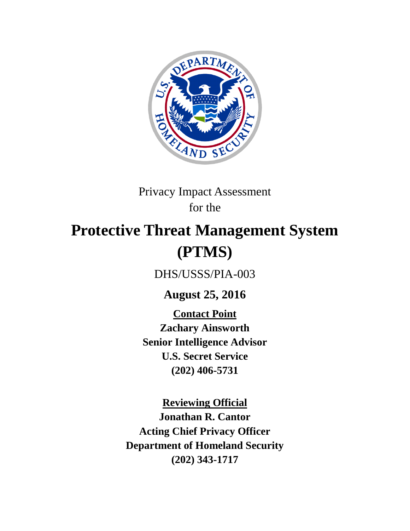

## Privacy Impact Assessment for the

# **Protective Threat Management System (PTMS)**

DHS/USSS/PIA-003

**August 25, 2016**

**Contact Point Zachary Ainsworth Senior Intelligence Advisor U.S. Secret Service (202) 406-5731**

**Reviewing Official Jonathan R. Cantor Acting Chief Privacy Officer Department of Homeland Security (202) 343-1717**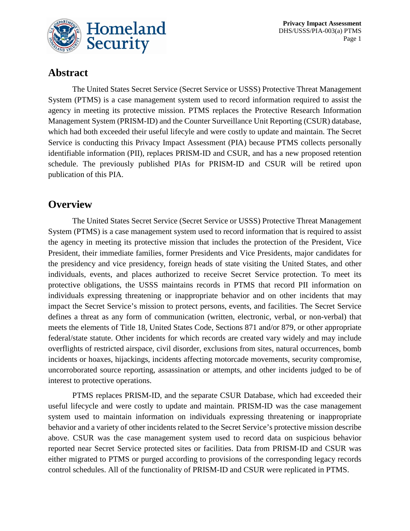

## **Abstract**

The United States Secret Service (Secret Service or USSS) Protective Threat Management System (PTMS) is a case management system used to record information required to assist the agency in meeting its protective mission. PTMS replaces the Protective Research Information Management System (PRISM-ID) and the Counter Surveillance Unit Reporting (CSUR) database, which had both exceeded their useful lifecyle and were costly to update and maintain. The Secret Service is conducting this Privacy Impact Assessment (PIA) because PTMS collects personally identifiable information (PII), replaces PRISM-ID and CSUR, and has a new proposed retention schedule. The previously published PIAs for PRISM-ID and CSUR will be retired upon publication of this PIA.

#### **Overview**

The United States Secret Service (Secret Service or USSS) Protective Threat Management System (PTMS) is a case management system used to record information that is required to assist the agency in meeting its protective mission that includes the protection of the President, Vice President, their immediate families, former Presidents and Vice Presidents, major candidates for the presidency and vice presidency, foreign heads of state visiting the United States, and other individuals, events, and places authorized to receive Secret Service protection. To meet its protective obligations, the USSS maintains records in PTMS that record PII information on individuals expressing threatening or inappropriate behavior and on other incidents that may impact the Secret Service's mission to protect persons, events, and facilities. The Secret Service defines a threat as any form of communication (written, electronic, verbal, or non-verbal) that meets the elements of Title 18, United States Code, Sections 871 and/or 879, or other appropriate federal/state statute. Other incidents for which records are created vary widely and may include overflights of restricted airspace, civil disorder, exclusions from sites, natural occurrences, bomb incidents or hoaxes, hijackings, incidents affecting motorcade movements, security compromise, uncorroborated source reporting, assassination or attempts, and other incidents judged to be of interest to protective operations.

PTMS replaces PRISM-ID, and the separate CSUR Database, which had exceeded their useful lifecycle and were costly to update and maintain. PRISM-ID was the case management system used to maintain information on individuals expressing threatening or inappropriate behavior and a variety of other incidents related to the Secret Service's protective mission describe above. CSUR was the case management system used to record data on suspicious behavior reported near Secret Service protected sites or facilities. Data from PRISM-ID and CSUR was either migrated to PTMS or purged according to provisions of the corresponding legacy records control schedules. All of the functionality of PRISM-ID and CSUR were replicated in PTMS.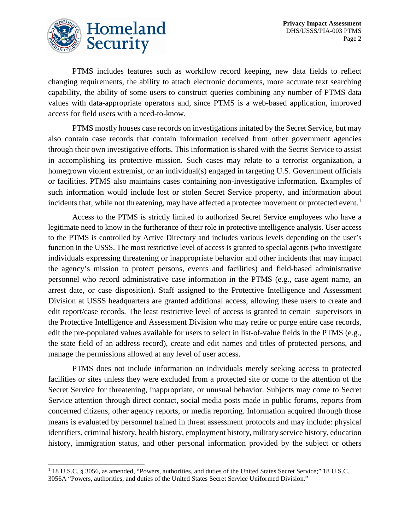

PTMS includes features such as workflow record keeping, new data fields to reflect changing requirements, the ability to attach electronic documents, more accurate text searching capability, the ability of some users to construct queries combining any number of PTMS data values with data-appropriate operators and, since PTMS is a web-based application, improved access for field users with a need-to-know.

PTMS mostly houses case records on investigations initated by the Secret Service, but may also contain case records that contain information received from other government agencies through their own investigative efforts. This information is shared with the Secret Service to assist in accomplishing its protective mission. Such cases may relate to a terrorist organization, a homegrown violent extremist, or an individual(s) engaged in targeting U.S. Government officials or facilities. PTMS also maintains cases containing non-investigative information. Examples of such information would include lost or stolen Secret Service property, and information about incidents that, while not threatening, may have affected a protectee movement or protected event.<sup>[1](#page-2-0)</sup>

Access to the PTMS is strictly limited to authorized Secret Service employees who have a legitimate need to know in the furtherance of their role in protective intelligence analysis. User access to the PTMS is controlled by Active Directory and includes various levels depending on the user's function in the USSS. The most restrictive level of access is granted to special agents (who investigate individuals expressing threatening or inappropriate behavior and other incidents that may impact the agency's mission to protect persons, events and facilities) and field-based administrative personnel who record administrative case information in the PTMS (e.g., case agent name, an arrest date, or case disposition). Staff assigned to the Protective Intelligence and Assessment Division at USSS headquarters are granted additional access, allowing these users to create and edit report/case records. The least restrictive level of access is granted to certain supervisors in the Protective Intelligence and Assessment Division who may retire or purge entire case records, edit the pre-populated values available for users to select in list-of-value fields in the PTMS (e.g., the state field of an address record), create and edit names and titles of protected persons, and manage the permissions allowed at any level of user access.

PTMS does not include information on individuals merely seeking access to protected facilities or sites unless they were excluded from a protected site or come to the attention of the Secret Service for threatening, inappropriate, or unusual behavior. Subjects may come to Secret Service attention through direct contact, social media posts made in public forums, reports from concerned citizens, other agency reports, or media reporting. Information acquired through those means is evaluated by personnel trained in threat assessment protocols and may include: physical identifiers, criminal history, health history, employment history, military service history, education history, immigration status, and other personal information provided by the subject or others

<span id="page-2-0"></span><sup>&</sup>lt;sup>1</sup> 18 U.S.C. § 3056, as amended, "Powers, authorities, and duties of the United States Secret Service;" 18 U.S.C. 3056A "Powers, authorities, and duties of the United States Secret Service Uniformed Division."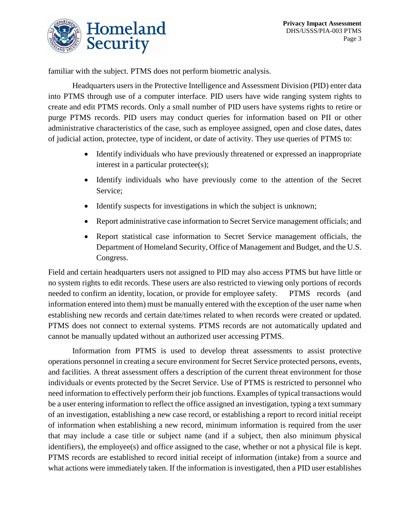

familiar with the subject. PTMS does not perform biometric analysis.

Headquarters users in the Protective Intelligence and Assessment Division (PID) enter data into PTMS through use of a computer interface. PID users have wide ranging system rights to create and edit PTMS records. Only a small number of PID users have systems rights to retire or purge PTMS records. PID users may conduct queries for information based on PII or other administrative characteristics of the case, such as employee assigned, open and close dates, dates of judicial action, protectee, type of incident, or date of activity. They use queries of PTMS to:

- Identify individuals who have previously threatened or expressed an inappropriate interest in a particular protectee(s);
- Identify individuals who have previously come to the attention of the Secret Service;
- Identify suspects for investigations in which the subject is unknown;
- Report administrative case information to Secret Service management officials; and
- Report statistical case information to Secret Service management officials, the Department of Homeland Security, Office of Management and Budget, and the U.S. Congress.

Field and certain headquarters users not assigned to PID may also access PTMS but have little or no system rights to edit records. These users are also restricted to viewing only portions of records needed to confirm an identity, location, or provide for employee safety. PTMS records (and information entered into them) must be manually entered with the exception of the user name when establishing new records and certain date/times related to when records were created or updated. PTMS does not connect to external systems. PTMS records are not automatically updated and cannot be manually updated without an authorized user accessing PTMS.

Information from PTMS is used to develop threat assessments to assist protective operations personnel in creating a secure environment for Secret Service protected persons, events, and facilities. A threat assessment offers a description of the current threat environment for those individuals or events protected by the Secret Service. Use of PTMS is restricted to personnel who need information to effectively perform their job functions. Examples of typical transactions would be a user entering information to reflect the office assigned an investigation, typing a text summary of an investigation, establishing a new case record, or establishing a report to record initial receipt of information when establishing a new record, minimum information is required from the user that may include a case title or subject name (and if a subject, then also minimum physical identifiers), the employee(s) and office assigned to the case, whether or not a physical file is kept. PTMS records are established to record initial receipt of information (intake) from a source and what actions were immediately taken. If the information is investigated, then a PID user establishes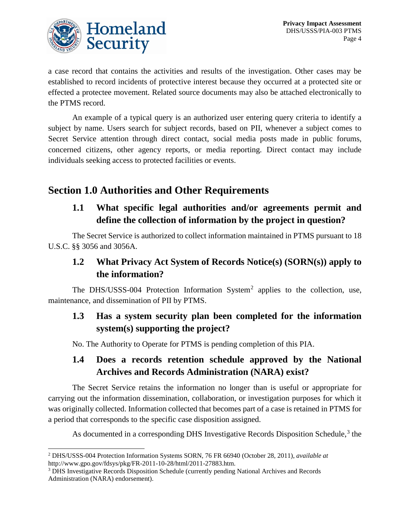

a case record that contains the activities and results of the investigation. Other cases may be established to record incidents of protective interest because they occurred at a protected site or effected a protectee movement. Related source documents may also be attached electronically to the PTMS record.

An example of a typical query is an authorized user entering query criteria to identify a subject by name. Users search for subject records, based on PII, whenever a subject comes to Secret Service attention through direct contact, social media posts made in public forums, concerned citizens, other agency reports, or media reporting. Direct contact may include individuals seeking access to protected facilities or events.

## **Section 1.0 Authorities and Other Requirements**

#### **1.1 What specific legal authorities and/or agreements permit and define the collection of information by the project in question?**

The Secret Service is authorized to collect information maintained in PTMS pursuant to 18 U.S.C. §§ 3056 and 3056A.

#### **1.2 What Privacy Act System of Records Notice(s) (SORN(s)) apply to the information?**

The DHS/USSS-004 Protection Information System<sup>[2](#page-4-0)</sup> applies to the collection, use, maintenance, and dissemination of PII by PTMS.

#### **1.3 Has a system security plan been completed for the information system(s) supporting the project?**

No. The Authority to Operate for PTMS is pending completion of this PIA.

## **1.4 Does a records retention schedule approved by the National Archives and Records Administration (NARA) exist?**

The Secret Service retains the information no longer than is useful or appropriate for carrying out the information dissemination, collaboration, or investigation purposes for which it was originally collected. Information collected that becomes part of a case is retained in PTMS for a period that corresponds to the specific case disposition assigned.

As documented in a corresponding DHS Investigative Records Disposition Schedule, [3](#page-4-1) the

<span id="page-4-0"></span> <sup>2</sup> DHS/USSS-004 Protection Information Systems SORN, 76 FR 66940 (October 28, 2011), *available at*  http://www.gpo.gov/fdsys/pkg/FR-2011-10-28/html/2011-27883.htm.<br><sup>3</sup> DHS Investigative Records Disposition Schedule (currently pending National Archives and Records

<span id="page-4-1"></span>Administration (NARA) endorsement).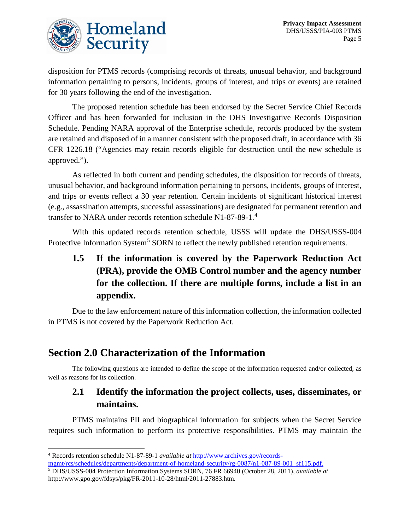

disposition for PTMS records (comprising records of threats, unusual behavior, and background information pertaining to persons, incidents, groups of interest, and trips or events) are retained for 30 years following the end of the investigation.

The proposed retention schedule has been endorsed by the Secret Service Chief Records Officer and has been forwarded for inclusion in the DHS Investigative Records Disposition Schedule. Pending NARA approval of the Enterprise schedule, records produced by the system are retained and disposed of in a manner consistent with the proposed draft, in accordance with 36 CFR 1226.18 ("Agencies may retain records eligible for destruction until the new schedule is approved.").

As reflected in both current and pending schedules, the disposition for records of threats, unusual behavior, and background information pertaining to persons, incidents, groups of interest, and trips or events reflect a 30 year retention. Certain incidents of significant historical interest (e.g., assassination attempts, successful assassinations) are designated for permanent retention and transfer to NARA under records retention schedule N1-87-89-1.[4](#page-5-0)

With this updated records retention schedule, USSS will update the DHS/USSS-004 Protective Information System<sup>[5](#page-5-1)</sup> SORN to reflect the newly published retention requirements.

## **1.5 If the information is covered by the Paperwork Reduction Act (PRA), provide the OMB Control number and the agency number for the collection. If there are multiple forms, include a list in an appendix.**

Due to the law enforcement nature of this information collection, the information collected in PTMS is not covered by the Paperwork Reduction Act.

## **Section 2.0 Characterization of the Information**

The following questions are intended to define the scope of the information requested and/or collected, as well as reasons for its collection.

#### **2.1 Identify the information the project collects, uses, disseminates, or maintains.**

PTMS maintains PII and biographical information for subjects when the Secret Service requires such information to perform its protective responsibilities. PTMS may maintain the

<span id="page-5-0"></span> <sup>4</sup> Records retention schedule N1-87-89-1 *available at* [http://www.archives.gov/records-](http://www.archives.gov/records-mgmt/rcs/schedules/departments/department-of-homeland-security/rg-0087/n1-087-89-001_sf115.pdf)

[mgmt/rcs/schedules/departments/department-of-homeland-security/rg-0087/n1-087-89-001\\_sf115.pdf.](http://www.archives.gov/records-mgmt/rcs/schedules/departments/department-of-homeland-security/rg-0087/n1-087-89-001_sf115.pdf)

<span id="page-5-1"></span><sup>5</sup> DHS/USSS-004 Protection Information Systems SORN, 76 FR 66940 (October 28, 2011), *available at*  http://www.gpo.gov/fdsys/pkg/FR-2011-10-28/html/2011-27883.htm.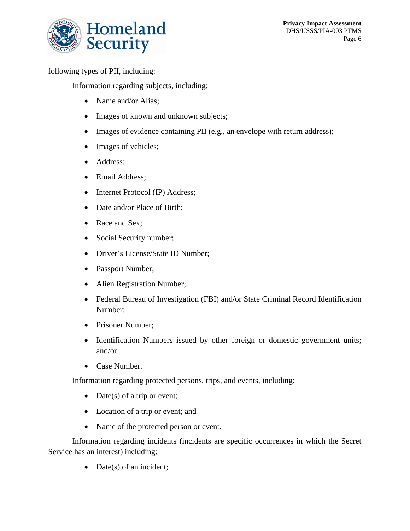

following types of PII, including:

Information regarding subjects, including:

- Name and/or Alias:
- Images of known and unknown subjects;
- Images of evidence containing PII (e.g., an envelope with return address);
- Images of vehicles;
- Address;
- Email Address;
- Internet Protocol (IP) Address;
- Date and/or Place of Birth:
- Race and Sex;
- Social Security number;
- Driver's License/State ID Number;
- Passport Number;
- Alien Registration Number;
- Federal Bureau of Investigation (FBI) and/or State Criminal Record Identification Number;
- Prisoner Number;
- Identification Numbers issued by other foreign or domestic government units; and/or
- Case Number.

Information regarding protected persons, trips, and events, including:

- Date(s) of a trip or event;
- Location of a trip or event; and
- Name of the protected person or event.

Information regarding incidents (incidents are specific occurrences in which the Secret Service has an interest) including:

• Date(s) of an incident;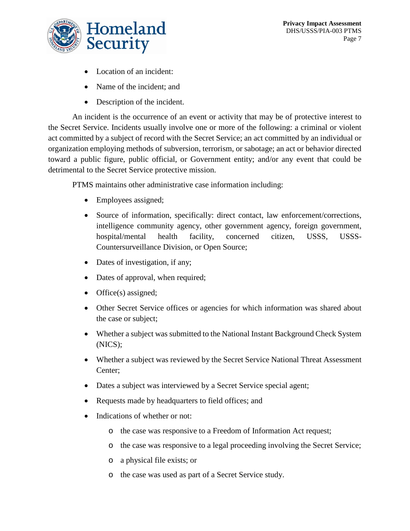

- Location of an incident:
- Name of the incident; and
- Description of the incident.

An incident is the occurrence of an event or activity that may be of protective interest to the Secret Service. Incidents usually involve one or more of the following: a criminal or violent act committed by a subject of record with the Secret Service; an act committed by an individual or organization employing methods of subversion, terrorism, or sabotage; an act or behavior directed toward a public figure, public official, or Government entity; and/or any event that could be detrimental to the Secret Service protective mission.

PTMS maintains other administrative case information including:

- Employees assigned;
- Source of information, specifically: direct contact, law enforcement/corrections, intelligence community agency, other government agency, foreign government, hospital/mental health facility, concerned citizen, USSS, USSS-Countersurveillance Division, or Open Source;
- Dates of investigation, if any;
- Dates of approval, when required;
- Office(s) assigned;
- Other Secret Service offices or agencies for which information was shared about the case or subject;
- Whether a subject was submitted to the National Instant Background Check System (NICS);
- Whether a subject was reviewed by the Secret Service National Threat Assessment Center;
- Dates a subject was interviewed by a Secret Service special agent;
- Requests made by headquarters to field offices; and
- Indications of whether or not:
	- o the case was responsive to a Freedom of Information Act request;
	- o the case was responsive to a legal proceeding involving the Secret Service;
	- o a physical file exists; or
	- o the case was used as part of a Secret Service study.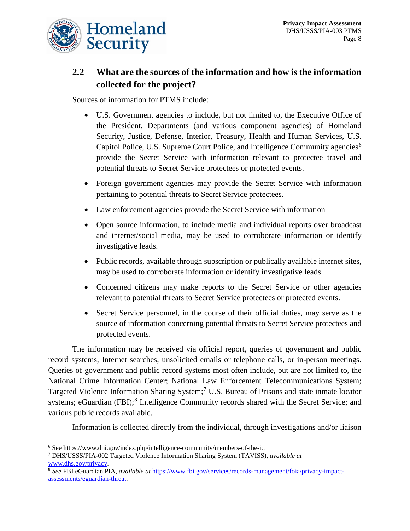

## **2.2 What are the sources of the information and how is the information collected for the project?**

Sources of information for PTMS include:

- U.S. Government agencies to include, but not limited to, the Executive Office of the President, Departments (and various component agencies) of Homeland Security, Justice, Defense, Interior, Treasury, Health and Human Services, U.S. Capitol Police, U.S. Supreme Court Police, and Intelligence Community agencies<sup>[6](#page-8-0)</sup> provide the Secret Service with information relevant to protectee travel and potential threats to Secret Service protectees or protected events.
- Foreign government agencies may provide the Secret Service with information pertaining to potential threats to Secret Service protectees.
- Law enforcement agencies provide the Secret Service with information
- Open source information, to include media and individual reports over broadcast and internet/social media, may be used to corroborate information or identify investigative leads.
- Public records, available through subscription or publically available internet sites, may be used to corroborate information or identify investigative leads.
- Concerned citizens may make reports to the Secret Service or other agencies relevant to potential threats to Secret Service protectees or protected events.
- Secret Service personnel, in the course of their official duties, may serve as the source of information concerning potential threats to Secret Service protectees and protected events.

The information may be received via official report, queries of government and public record systems, Internet searches, unsolicited emails or telephone calls, or in-person meetings. Queries of government and public record systems most often include, but are not limited to, the National Crime Information Center; National Law Enforcement Telecommunications System; Targeted Violence Information Sharing System;<sup>[7](#page-8-1)</sup> U.S. Bureau of Prisons and state inmate locator systems; eGuardian (FBI);<sup>[8](#page-8-2)</sup> Intelligence Community records shared with the Secret Service; and various public records available.

Information is collected directly from the individual, through investigations and/or liaison

<span id="page-8-0"></span> <sup>6</sup> See https://www.dni.gov/index.php/intelligence-community/members-of-the-ic.

<span id="page-8-1"></span><sup>7</sup> DHS/USSS/PIA-002 Targeted Violence Information Sharing System (TAVISS), *available at*  [www.dhs.gov/privacy.](http://www.dhs.gov/privacy) 8 *See* FBI eGuardian PIA, *available at* [https://www.fbi.gov/services/records-management/foia/privacy-impact-](https://www.fbi.gov/services/records-management/foia/privacy-impact-assessments/eguardian-threat)

<span id="page-8-2"></span>[assessments/eguardian-threat.](https://www.fbi.gov/services/records-management/foia/privacy-impact-assessments/eguardian-threat)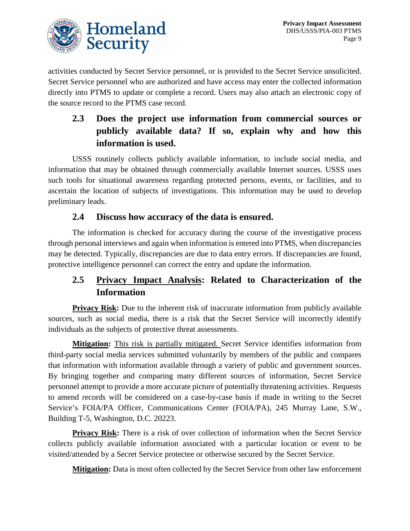

activities conducted by Secret Service personnel, or is provided to the Secret Service unsolicited. Secret Service personnel who are authorized and have access may enter the collected information directly into PTMS to update or complete a record. Users may also attach an electronic copy of the source record to the PTMS case record.

## **2.3 Does the project use information from commercial sources or publicly available data? If so, explain why and how this information is used.**

USSS routinely collects publicly available information, to include social media, and information that may be obtained through commercially available Internet sources. USSS uses such tools for situational awareness regarding protected persons, events, or facilities, and to ascertain the location of subjects of investigations. This information may be used to develop preliminary leads.

#### **2.4 Discuss how accuracy of the data is ensured.**

The information is checked for accuracy during the course of the investigative process through personal interviews and again when information is entered into PTMS, when discrepancies may be detected. Typically, discrepancies are due to data entry errors. If discrepancies are found, protective intelligence personnel can correct the entry and update the information.

#### **2.5 Privacy Impact Analysis: Related to Characterization of the Information**

**Privacy Risk:** Due to the inherent risk of inaccurate information from publicly available sources, such as social media, there is a risk that the Secret Service will incorrectly identify individuals as the subjects of protective threat assessments.

**Mitigation:** This risk is partially mitigated. Secret Service identifies information from third-party social media services submitted voluntarily by members of the public and compares that information with information available through a variety of public and government sources. By bringing together and comparing many different sources of information, Secret Service personnel attempt to provide a more accurate picture of potentially threatening activities. Requests to amend records will be considered on a case-by-case basis if made in writing to the Secret Service's FOIA/PA Officer, Communications Center (FOIA/PA), 245 Murray Lane, S.W., Building T-5, Washington, D.C. 20223.

**Privacy Risk:** There is a risk of over collection of information when the Secret Service collects publicly available information associated with a particular location or event to be visited/attended by a Secret Service protectee or otherwise secured by the Secret Service.

**Mitigation:** Data is most often collected by the Secret Service from other law enforcement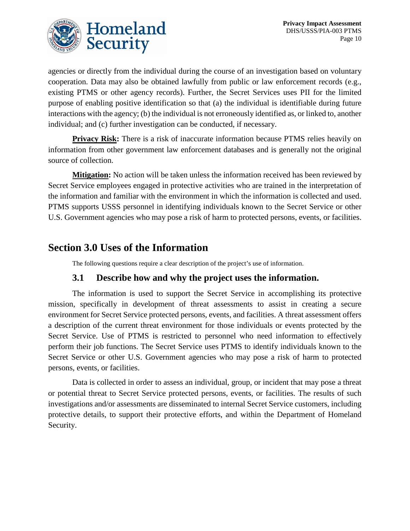

agencies or directly from the individual during the course of an investigation based on voluntary cooperation. Data may also be obtained lawfully from public or law enforcement records (e.g., existing PTMS or other agency records). Further, the Secret Services uses PII for the limited purpose of enabling positive identification so that (a) the individual is identifiable during future interactions with the agency; (b) the individual is not erroneously identified as, or linked to, another individual; and (c) further investigation can be conducted, if necessary.

**Privacy Risk:** There is a risk of inaccurate information because PTMS relies heavily on information from other government law enforcement databases and is generally not the original source of collection.

**Mitigation:** No action will be taken unless the information received has been reviewed by Secret Service employees engaged in protective activities who are trained in the interpretation of the information and familiar with the environment in which the information is collected and used. PTMS supports USSS personnel in identifying individuals known to the Secret Service or other U.S. Government agencies who may pose a risk of harm to protected persons, events, or facilities.

## **Section 3.0 Uses of the Information**

The following questions require a clear description of the project's use of information.

#### **3.1 Describe how and why the project uses the information.**

The information is used to support the Secret Service in accomplishing its protective mission, specifically in development of threat assessments to assist in creating a secure environment for Secret Service protected persons, events, and facilities. A threat assessment offers a description of the current threat environment for those individuals or events protected by the Secret Service. Use of PTMS is restricted to personnel who need information to effectively perform their job functions. The Secret Service uses PTMS to identify individuals known to the Secret Service or other U.S. Government agencies who may pose a risk of harm to protected persons, events, or facilities.

Data is collected in order to assess an individual, group, or incident that may pose a threat or potential threat to Secret Service protected persons, events, or facilities. The results of such investigations and/or assessments are disseminated to internal Secret Service customers, including protective details, to support their protective efforts, and within the Department of Homeland Security.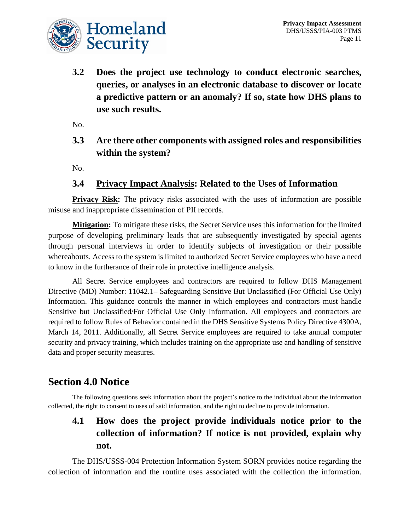

**3.2 Does the project use technology to conduct electronic searches, queries, or analyses in an electronic database to discover or locate a predictive pattern or an anomaly? If so, state how DHS plans to use such results.**

No.

**3.3 Are there other components with assigned roles and responsibilities within the system?**

No.

#### **3.4 Privacy Impact Analysis: Related to the Uses of Information**

**Privacy Risk:** The privacy risks associated with the uses of information are possible misuse and inappropriate dissemination of PII records.

**Mitigation:** To mitigate these risks, the Secret Service uses this information for the limited purpose of developing preliminary leads that are subsequently investigated by special agents through personal interviews in order to identify subjects of investigation or their possible whereabouts. Access to the system is limited to authorized Secret Service employees who have a need to know in the furtherance of their role in protective intelligence analysis.

All Secret Service employees and contractors are required to follow DHS Management Directive (MD) Number: 11042.1– Safeguarding Sensitive But Unclassified (For Official Use Only) Information. This guidance controls the manner in which employees and contractors must handle Sensitive but Unclassified/For Official Use Only Information. All employees and contractors are required to follow Rules of Behavior contained in the DHS Sensitive Systems Policy Directive 4300A, March 14, 2011. Additionally, all Secret Service employees are required to take annual computer security and privacy training, which includes training on the appropriate use and handling of sensitive data and proper security measures.

#### **Section 4.0 Notice**

The following questions seek information about the project's notice to the individual about the information collected, the right to consent to uses of said information, and the right to decline to provide information.

## **4.1 How does the project provide individuals notice prior to the collection of information? If notice is not provided, explain why not.**

The DHS/USSS-004 Protection Information System SORN provides notice regarding the collection of information and the routine uses associated with the collection the information.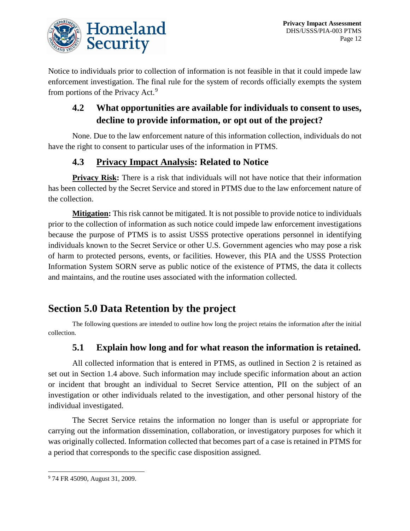

Notice to individuals prior to collection of information is not feasible in that it could impede law enforcement investigation. The final rule for the system of records officially exempts the system from portions of the Privacy Act.<sup>[9](#page-12-0)</sup>

#### **4.2 What opportunities are available for individuals to consent to uses, decline to provide information, or opt out of the project?**

None. Due to the law enforcement nature of this information collection, individuals do not have the right to consent to particular uses of the information in PTMS.

#### **4.3 Privacy Impact Analysis: Related to Notice**

**Privacy Risk:** There is a risk that individuals will not have notice that their information has been collected by the Secret Service and stored in PTMS due to the law enforcement nature of the collection.

**Mitigation:** This risk cannot be mitigated. It is not possible to provide notice to individuals prior to the collection of information as such notice could impede law enforcement investigations because the purpose of PTMS is to assist USSS protective operations personnel in identifying individuals known to the Secret Service or other U.S. Government agencies who may pose a risk of harm to protected persons, events, or facilities. However, this PIA and the USSS Protection Information System SORN serve as public notice of the existence of PTMS, the data it collects and maintains, and the routine uses associated with the information collected.

## **Section 5.0 Data Retention by the project**

The following questions are intended to outline how long the project retains the information after the initial collection.

#### **5.1 Explain how long and for what reason the information is retained.**

All collected information that is entered in PTMS, as outlined in Section 2 is retained as set out in Section 1.4 above. Such information may include specific information about an action or incident that brought an individual to Secret Service attention, PII on the subject of an investigation or other individuals related to the investigation, and other personal history of the individual investigated.

The Secret Service retains the information no longer than is useful or appropriate for carrying out the information dissemination, collaboration, or investigatory purposes for which it was originally collected. Information collected that becomes part of a case is retained in PTMS for a period that corresponds to the specific case disposition assigned.

<span id="page-12-0"></span> <sup>9</sup> 74 FR 45090, August 31, 2009.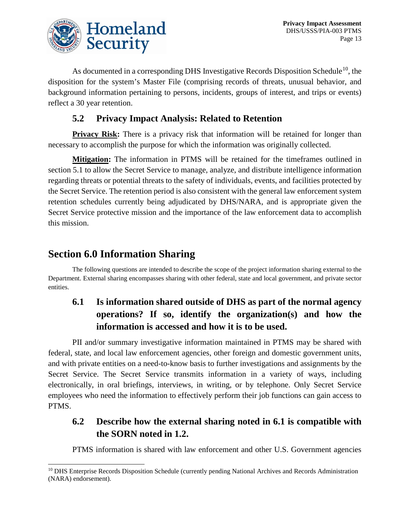

As documented in a corresponding DHS Investigative Records Disposition Schedule<sup>10</sup>, the disposition for the system's Master File (comprising records of threats, unusual behavior, and background information pertaining to persons, incidents, groups of interest, and trips or events) reflect a 30 year retention.

#### **5.2 Privacy Impact Analysis: Related to Retention**

**Privacy Risk:** There is a privacy risk that information will be retained for longer than necessary to accomplish the purpose for which the information was originally collected.

**Mitigation:** The information in PTMS will be retained for the timeframes outlined in section 5.1 to allow the Secret Service to manage, analyze, and distribute intelligence information regarding threats or potential threats to the safety of individuals, events, and facilities protected by the Secret Service. The retention period is also consistent with the general law enforcement system retention schedules currently being adjudicated by DHS/NARA, and is appropriate given the Secret Service protective mission and the importance of the law enforcement data to accomplish this mission.

## **Section 6.0 Information Sharing**

The following questions are intended to describe the scope of the project information sharing external to the Department. External sharing encompasses sharing with other federal, state and local government, and private sector entities.

## **6.1 Is information shared outside of DHS as part of the normal agency operations? If so, identify the organization(s) and how the information is accessed and how it is to be used.**

PII and/or summary investigative information maintained in PTMS may be shared with federal, state, and local law enforcement agencies, other foreign and domestic government units, and with private entities on a need-to-know basis to further investigations and assignments by the Secret Service. The Secret Service transmits information in a variety of ways, including electronically, in oral briefings, interviews, in writing, or by telephone. Only Secret Service employees who need the information to effectively perform their job functions can gain access to PTMS.

#### **6.2 Describe how the external sharing noted in 6.1 is compatible with the SORN noted in 1.2.**

PTMS information is shared with law enforcement and other U.S. Government agencies

<span id="page-13-0"></span><sup>&</sup>lt;sup>10</sup> DHS Enterprise Records Disposition Schedule (currently pending National Archives and Records Administration (NARA) endorsement).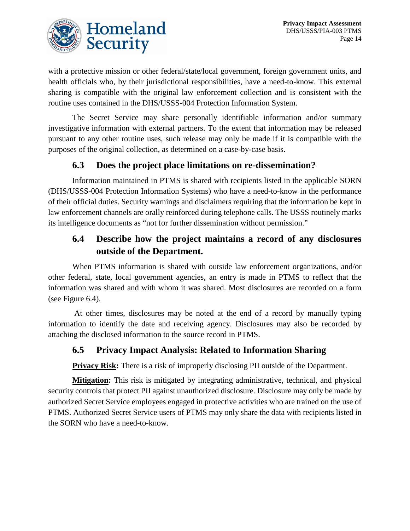

with a protective mission or other federal/state/local government, foreign government units, and health officials who, by their jurisdictional responsibilities, have a need-to-know. This external sharing is compatible with the original law enforcement collection and is consistent with the routine uses contained in the DHS/USSS-004 Protection Information System.

The Secret Service may share personally identifiable information and/or summary investigative information with external partners. To the extent that information may be released pursuant to any other routine uses, such release may only be made if it is compatible with the purposes of the original collection, as determined on a case-by-case basis.

#### **6.3 Does the project place limitations on re-dissemination?**

Information maintained in PTMS is shared with recipients listed in the applicable SORN (DHS/USSS-004 Protection Information Systems) who have a need-to-know in the performance of their official duties. Security warnings and disclaimers requiring that the information be kept in law enforcement channels are orally reinforced during telephone calls. The USSS routinely marks its intelligence documents as "not for further dissemination without permission."

#### **6.4 Describe how the project maintains a record of any disclosures outside of the Department.**

When PTMS information is shared with outside law enforcement organizations, and/or other federal, state, local government agencies, an entry is made in PTMS to reflect that the information was shared and with whom it was shared. Most disclosures are recorded on a form (see Figure 6.4).

At other times, disclosures may be noted at the end of a record by manually typing information to identify the date and receiving agency. Disclosures may also be recorded by attaching the disclosed information to the source record in PTMS.

#### **6.5 Privacy Impact Analysis: Related to Information Sharing**

**Privacy Risk:** There is a risk of improperly disclosing PII outside of the Department.

**Mitigation:** This risk is mitigated by integrating administrative, technical, and physical security controls that protect PII against unauthorized disclosure. Disclosure may only be made by authorized Secret Service employees engaged in protective activities who are trained on the use of PTMS. Authorized Secret Service users of PTMS may only share the data with recipients listed in the SORN who have a need-to-know.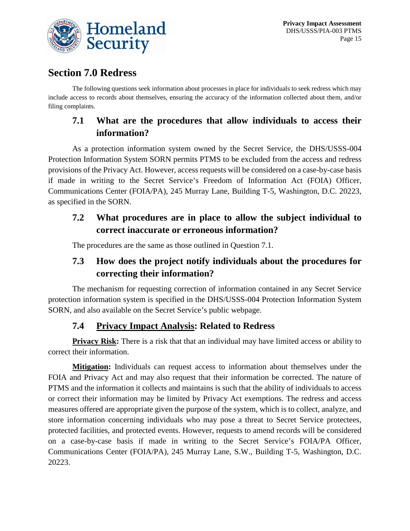

## **Section 7.0 Redress**

The following questions seek information about processes in place for individuals to seek redress which may include access to records about themselves, ensuring the accuracy of the information collected about them, and/or filing complaints.

#### **7.1 What are the procedures that allow individuals to access their information?**

As a protection information system owned by the Secret Service, the DHS/USSS-004 Protection Information System SORN permits PTMS to be excluded from the access and redress provisions of the Privacy Act. However, access requests will be considered on a case-by-case basis if made in writing to the Secret Service's Freedom of Information Act (FOIA) Officer, Communications Center (FOIA/PA), 245 Murray Lane, Building T-5, Washington, D.C. 20223, as specified in the SORN.

#### **7.2 What procedures are in place to allow the subject individual to correct inaccurate or erroneous information?**

The procedures are the same as those outlined in Question 7.1.

## **7.3 How does the project notify individuals about the procedures for correcting their information?**

The mechanism for requesting correction of information contained in any Secret Service protection information system is specified in the DHS/USSS-004 Protection Information System SORN, and also available on the Secret Service's public webpage.

#### **7.4 Privacy Impact Analysis: Related to Redress**

**Privacy Risk:** There is a risk that that an individual may have limited access or ability to correct their information.

**Mitigation:** Individuals can request access to information about themselves under the FOIA and Privacy Act and may also request that their information be corrected. The nature of PTMS and the information it collects and maintains is such that the ability of individuals to access or correct their information may be limited by Privacy Act exemptions. The redress and access measures offered are appropriate given the purpose of the system, which is to collect, analyze, and store information concerning individuals who may pose a threat to Secret Service protectees, protected facilities, and protected events. However, requests to amend records will be considered on a case-by-case basis if made in writing to the Secret Service's FOIA/PA Officer, Communications Center (FOIA/PA), 245 Murray Lane, S.W., Building T-5, Washington, D.C. 20223.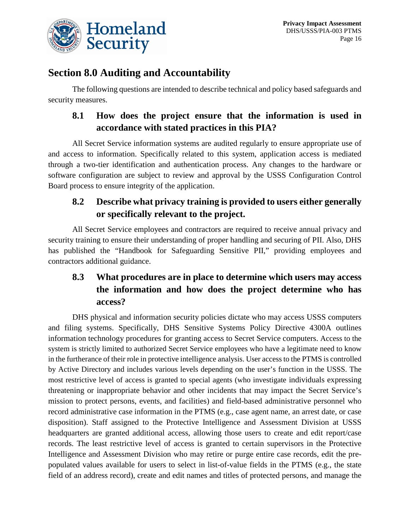

## **Section 8.0 Auditing and Accountability**

The following questions are intended to describe technical and policy based safeguards and security measures.

#### **8.1 How does the project ensure that the information is used in accordance with stated practices in this PIA?**

All Secret Service information systems are audited regularly to ensure appropriate use of and access to information. Specifically related to this system, application access is mediated through a two-tier identification and authentication process. Any changes to the hardware or software configuration are subject to review and approval by the USSS Configuration Control Board process to ensure integrity of the application.

## **8.2 Describe what privacy training is provided to users either generally or specifically relevant to the project.**

All Secret Service employees and contractors are required to receive annual privacy and security training to ensure their understanding of proper handling and securing of PII. Also, DHS has published the "Handbook for Safeguarding Sensitive PII," providing employees and contractors additional guidance.

## **8.3 What procedures are in place to determine which users may access the information and how does the project determine who has access?**

DHS physical and information security policies dictate who may access USSS computers and filing systems. Specifically, DHS Sensitive Systems Policy Directive 4300A outlines information technology procedures for granting access to Secret Service computers. Access to the system is strictly limited to authorized Secret Service employees who have a legitimate need to know in the furtherance of their role in protective intelligence analysis. User access to the PTMS is controlled by Active Directory and includes various levels depending on the user's function in the USSS. The most restrictive level of access is granted to special agents (who investigate individuals expressing threatening or inappropriate behavior and other incidents that may impact the Secret Service's mission to protect persons, events, and facilities) and field-based administrative personnel who record administrative case information in the PTMS (e.g., case agent name, an arrest date, or case disposition). Staff assigned to the Protective Intelligence and Assessment Division at USSS headquarters are granted additional access, allowing those users to create and edit report/case records. The least restrictive level of access is granted to certain supervisors in the Protective Intelligence and Assessment Division who may retire or purge entire case records, edit the prepopulated values available for users to select in list-of-value fields in the PTMS (e.g., the state field of an address record), create and edit names and titles of protected persons, and manage the